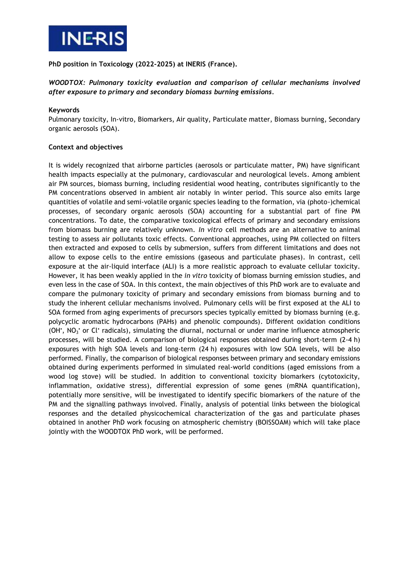

**PhD position in Toxicology (2022-2025) at INERIS (France).**

# *WOODTOX: Pulmonary toxicity evaluation and comparison of cellular mechanisms involved after exposure to primary and secondary biomass burning emissions.*

### **Keywords**

Pulmonary toxicity, In-vitro, Biomarkers, Air quality, Particulate matter, Biomass burning, Secondary organic aerosols (SOA).

## **Context and objectives**

It is widely recognized that airborne particles (aerosols or particulate matter, PM) have significant health impacts especially at the pulmonary, cardiovascular and neurological levels. Among ambient air PM sources, biomass burning, including residential wood heating, contributes significantly to the PM concentrations observed in ambient air notably in winter period. This source also emits large quantities of volatile and semi-volatile organic species leading to the formation, via (photo-)chemical processes, of secondary organic aerosols (SOA) accounting for a substantial part of fine PM concentrations. To date, the comparative toxicological effects of primary and secondary emissions from biomass burning are relatively unknown. *In vitro* cell methods are an alternative to animal testing to assess air pollutants toxic effects. Conventional approaches, using PM collected on filters then extracted and exposed to cells by submersion, suffers from different limitations and does not allow to expose cells to the entire emissions (gaseous and particulate phases). In contrast, cell exposure at the air-liquid interface (ALI) is a more realistic approach to evaluate cellular toxicity. However, it has been weakly applied in the *in vitro* toxicity of biomass burning emission studies, and even less in the case of SOA. In this context, the main objectives of this PhD work are to evaluate and compare the pulmonary toxicity of primary and secondary emissions from biomass burning and to study the inherent cellular mechanisms involved. Pulmonary cells will be first exposed at the ALI to SOA formed from aging experiments of precursors species typically emitted by biomass burning (e.g. polycyclic aromatic hydrocarbons (PAHs) and phenolic compounds). Different oxidation conditions (OH', NO<sub>3</sub>' or Cl' radicals), simulating the diurnal, nocturnal or under marine influence atmospheric processes, will be studied. A comparison of biological responses obtained during short-term (2-4 h) exposures with high SOA levels and long-term (24 h) exposures with low SOA levels, will be also performed. Finally, the comparison of biological responses between primary and secondary emissions obtained during experiments performed in simulated real-world conditions (aged emissions from a wood log stove) will be studied. In addition to conventional toxicity biomarkers (cytotoxicity, inflammation, oxidative stress), differential expression of some genes (mRNA quantification), potentially more sensitive, will be investigated to identify specific biomarkers of the nature of the PM and the signalling pathways involved. Finally, analysis of potential links between the biological responses and the detailed physicochemical characterization of the gas and particulate phases obtained in another PhD work focusing on atmospheric chemistry (BOISSOAM) which will take place jointly with the WOODTOX PhD work, will be performed.